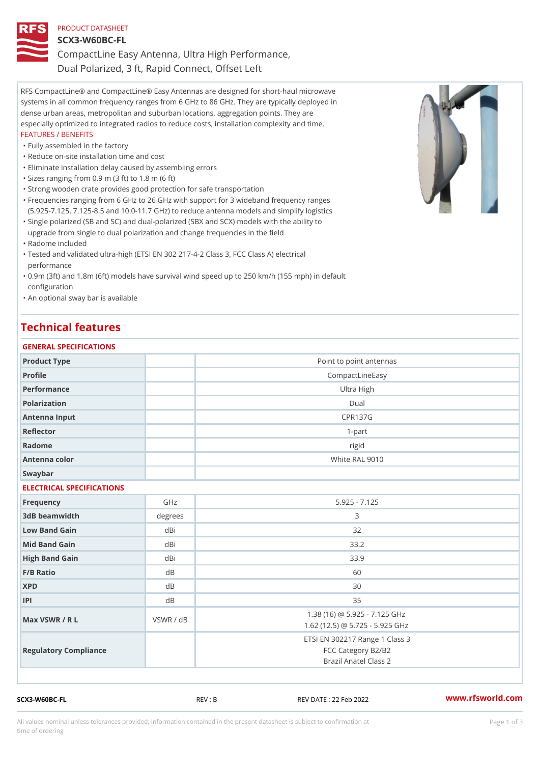## PRODUCT DATASHEET SCX3-W60BC-FL CompactLine Easy Antenna, Ultra High Performance, Dual Polarized, 3 ft, Rapid Connect, Offset Left

RFS CompactLine® and CompactLine® Easy Antennas are designed for short-haul microwave systems in all common frequency ranges from 6 GHz to 86 GHz. They are typically deployed in dense urban areas, metropolitan and suburban locations, aggregation points. They are especially optimized to integrated radios to reduce costs, installation complexity and time. FEATURES / BENEFITS

#### "Fully assembled in the factory

- "Reduce on-site installation time and cost
- "Eliminate installation delay caused by assembling errors
- "Sizes ranging from 0.9 m (3 ft) to 1.8 m (6 ft)
- "Strong wooden crate provides good protection for safe transportation
- Frequencies ranging from 6 GHz to 26 GHz with support for 3 wideband frequency ranges " (5.925-7.125, 7.125-8.5 and 10.0-11.7 GHz) to reduce antenna models and simplify logistics
- Single polarized (SB and SC) and dual-polarized (SBX and SCX) models with the ability to " upgrade from single to dual polarization and change frequencies in the field
- "Radome included
- Tested and validated ultra-high (ETSI EN 302 217-4-2 Class 3, FCC Class A) electrical " performance
- 0.9m (3ft) and 1.8m (6ft) models have survival wind speed up to 250 km/h (155 mph) in default " configuration
- "An optional sway bar is available

### Technical features

| GENERAL SPECIFICATIONS    |                         |                                                                               |  |  |  |
|---------------------------|-------------------------|-------------------------------------------------------------------------------|--|--|--|
| Product Type              | Point to point antennas |                                                                               |  |  |  |
| Profile                   | CompactLineEasy         |                                                                               |  |  |  |
| Performance               |                         | Ultra High                                                                    |  |  |  |
| Polarization              |                         | $D$ ual                                                                       |  |  |  |
| Antenna Input             |                         | <b>CPR137G</b>                                                                |  |  |  |
| Reflector                 |                         | $1 - p$ art                                                                   |  |  |  |
| Radome                    |                         | rigid                                                                         |  |  |  |
| Antenna color             |                         | White RAL 9010                                                                |  |  |  |
| Swaybar                   |                         |                                                                               |  |  |  |
| ELECTRICAL SPECIFICATIONS |                         |                                                                               |  |  |  |
| Frequency                 | GHz                     | $5.925 - 7.125$                                                               |  |  |  |
| 3dB beamwidth             | degree:                 | 3                                                                             |  |  |  |
| Low Band Gain             | dBi                     | 32                                                                            |  |  |  |
| Mid Band Gain             | dBi                     | 33.2                                                                          |  |  |  |
| High Band Gain            | dBi                     | 33.9                                                                          |  |  |  |
| F/B Ratio                 | d <sub>B</sub>          | 60                                                                            |  |  |  |
| <b>XPD</b>                | d <sub>B</sub>          | 30                                                                            |  |  |  |
| P                         | d B                     | 35                                                                            |  |  |  |
| Max VSWR / R L            | VSWR / dB               | 1.38 (16) @ 5.925 - 7.125 GHz<br>1.62 (12.5) @ 5.725 - 5.925 GHz              |  |  |  |
| Regulatory Compliance     |                         | ETSI EN 302217 Range 1 Class 3<br>FCC Category B2/B2<br>Brazil Anatel Class 2 |  |  |  |

SCX3-W60BC-FL REV : B REV DATE : 22 Feb 2022 [www.](https://www.rfsworld.com)rfsworld.com

All values nominal unless tolerances provided; information contained in the present datasheet is subject to Pcapgeign mation time of ordering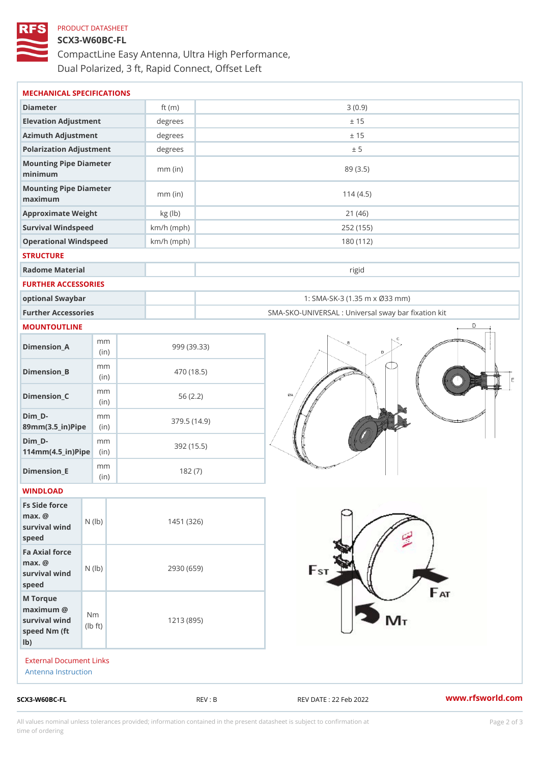# PRODUCT DATASHEET SCX3-W60BC-FL CompactLine Easy Antenna, Ultra High Performance, Dual Polarized, 3 ft, Rapid Connect, Offset Left

| MECHANICAL SPECIFICATIONS                                                                                    |              |                                                   |                                           |
|--------------------------------------------------------------------------------------------------------------|--------------|---------------------------------------------------|-------------------------------------------|
| Diameter                                                                                                     | ft $(m)$     |                                                   | 3(0.9)                                    |
| Elevation Adjustment                                                                                         | degrees      | ± 15                                              |                                           |
| Azimuth Adjustment                                                                                           | degrees      | ± 15                                              |                                           |
| Polarization Adjustment                                                                                      | degrees      | ± 5                                               |                                           |
| Mounting Pipe Diameter<br>minimum                                                                            | $mm$ (in)    | 89 (3.5)                                          |                                           |
| Mounting Pipe Diameter<br>maximum                                                                            | $mm$ (in)    | 114(4.5)                                          |                                           |
| Approximate Weight                                                                                           | kg (lb)      | 21(46)                                            |                                           |
| Survival Windspeed                                                                                           | $km/h$ (mph) | 252 (155)                                         |                                           |
| Operational Windspeed                                                                                        | $km/h$ (mph) | 180 (112)                                         |                                           |
| <b>STRUCTURE</b>                                                                                             |              |                                                   |                                           |
| Radome Material                                                                                              |              |                                                   | rigid                                     |
| FURTHER ACCESSORIES                                                                                          |              |                                                   |                                           |
| optional Swaybar                                                                                             |              |                                                   | 1: SMA-SK-3 (1.35 m x Ø33 mm)             |
| Further Accessories                                                                                          |              | SMA-SKO-UNIVERSAL : Universal sway bar fixation l |                                           |
| MOUNTOUTLINE                                                                                                 |              |                                                   |                                           |
| m m<br>$Dimension_A$<br>(in)                                                                                 |              | 999 (39.33)                                       |                                           |
| m m<br>$Dimen sion_B$<br>(in)                                                                                |              | 470 (18.5)                                        |                                           |
| m m<br>$Dimension_C$<br>(in)                                                                                 |              | 56(2.2)                                           |                                           |
| $Dim_D -$<br>m m<br>89mm (3.5_in) Pi(pine)                                                                   |              | 379.5(14.9)                                       |                                           |
| $Dim_D -$<br>m m<br>$114$ m m $(4.5$ ir $)$ $\sqrt{$ ii $\sqrt{p}}$ $\approx$                                |              | 392 (15.5)                                        |                                           |
| m m<br>$Dimension$ = E<br>(i n)                                                                              |              | 182(7)                                            |                                           |
| WINDLOAD                                                                                                     |              |                                                   |                                           |
| Fs Side force<br>$max.$ @<br>survival $w \in N$ (l $b$ )<br>speed                                            |              | 1451 (326)                                        |                                           |
| Fa Axial force<br>$max.$ @<br>survival wind (1b)<br>speed                                                    |              | 2930 (659)                                        |                                           |
| M Torque<br>$maximum$ @<br>N <sub>m</sub><br>survival wind<br>l b<br>$\dagger$ t)<br>speed Nm (ft)<br>$1b$ ) |              | 1213 (895)                                        |                                           |
| External Document Links<br>Antenna Instruction                                                               |              |                                                   |                                           |
| SCX3-W60BC-FL                                                                                                |              | REV : B                                           | www.rfsworld.co<br>REV DATE : 22 Feb 2022 |

All values nominal unless tolerances provided; information contained in the present datasheet is subject to Pcapgelio an atio time of ordering